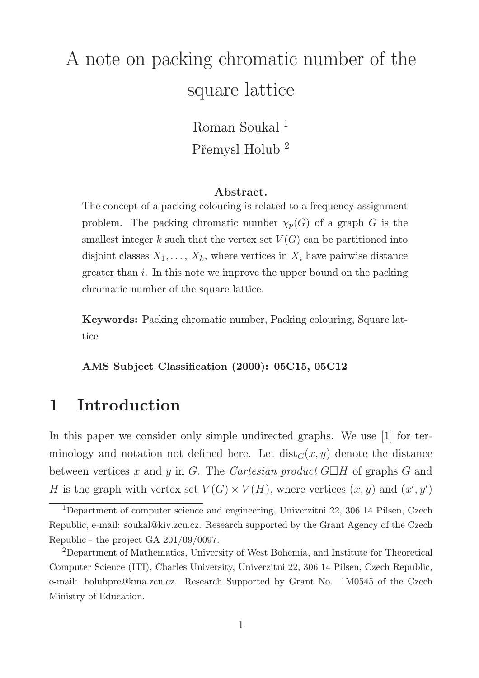# A note on packing chromatic number of the square lattice

Roman Soukal<sup>1</sup> Přemysl Holub <sup>2</sup>

#### Abstract.

The concept of a packing colouring is related to a frequency assignment problem. The packing chromatic number  $\chi_p(G)$  of a graph G is the smallest integer k such that the vertex set  $V(G)$  can be partitioned into disjoint classes  $X_1, \ldots, X_k$ , where vertices in  $X_i$  have pairwise distance greater than i. In this note we improve the upper bound on the packing chromatic number of the square lattice.

Keywords: Packing chromatic number, Packing colouring, Square lattice

AMS Subject Classification (2000): 05C15, 05C12

### 1 Introduction

In this paper we consider only simple undirected graphs. We use [1] for terminology and notation not defined here. Let  $dist_G(x, y)$  denote the distance between vertices x and y in G. The Cartesian product  $G\Box H$  of graphs G and H is the graph with vertex set  $V(G) \times V(H)$ , where vertices  $(x, y)$  and  $(x', y')$ 

<sup>1</sup>Department of computer science and engineering, Univerzitni 22, 306 14 Pilsen, Czech Republic, e-mail: soukal@kiv.zcu.cz. Research supported by the Grant Agency of the Czech Republic - the project GA 201/09/0097.

<sup>2</sup>Department of Mathematics, University of West Bohemia, and Institute for Theoretical Computer Science (ITI), Charles University, Univerzitni 22, 306 14 Pilsen, Czech Republic, e-mail: holubpre@kma.zcu.cz. Research Supported by Grant No. 1M0545 of the Czech Ministry of Education.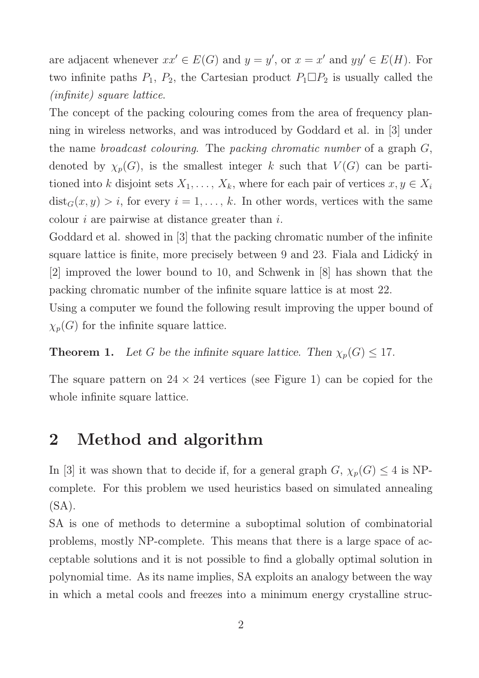are adjacent whenever  $xx' \in E(G)$  and  $y = y'$ , or  $x = x'$  and  $yy' \in E(H)$ . For two infinite paths  $P_1$ ,  $P_2$ , the Cartesian product  $P_1 \square P_2$  is usually called the (infinite) square lattice.

The concept of the packing colouring comes from the area of frequency planning in wireless networks, and was introduced by Goddard et al. in [3] under the name broadcast colouring. The packing chromatic number of a graph G, denoted by  $\chi_p(G)$ , is the smallest integer k such that  $V(G)$  can be partitioned into k disjoint sets  $X_1, \ldots, X_k$ , where for each pair of vertices  $x, y \in X_i$  $dist_G(x, y) > i$ , for every  $i = 1, ..., k$ . In other words, vertices with the same colour  $i$  are pairwise at distance greater than  $i$ .

Goddard et al. showed in [3] that the packing chromatic number of the infinite square lattice is finite, more precisely between 9 and 23. Fiala and Lidický in [2] improved the lower bound to 10, and Schwenk in [8] has shown that the packing chromatic number of the infinite square lattice is at most 22.

Using a computer we found the following result improving the upper bound of  $\chi_p(G)$  for the infinite square lattice.

**Theorem 1.** Let G be the infinite square lattice. Then  $\chi_p(G) \leq 17$ .

The square pattern on  $24 \times 24$  vertices (see Figure 1) can be copied for the whole infinite square lattice.

### 2 Method and algorithm

In [3] it was shown that to decide if, for a general graph  $G, \chi_p(G) \leq 4$  is NPcomplete. For this problem we used heuristics based on simulated annealing  $(SA)$ .

SA is one of methods to determine a suboptimal solution of combinatorial problems, mostly NP-complete. This means that there is a large space of acceptable solutions and it is not possible to find a globally optimal solution in polynomial time. As its name implies, SA exploits an analogy between the way in which a metal cools and freezes into a minimum energy crystalline struc-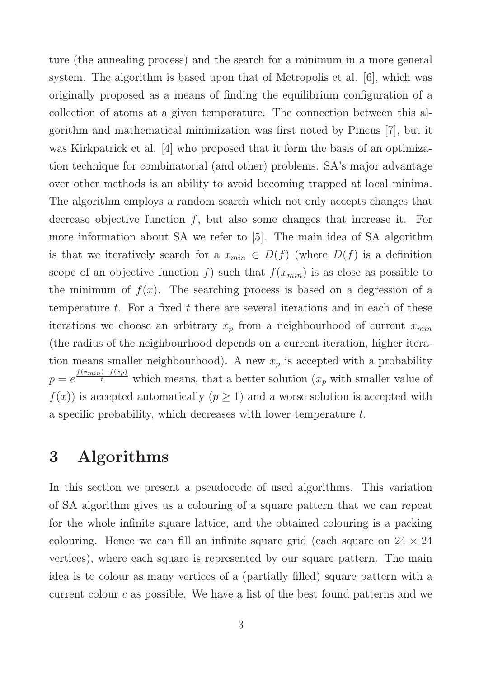ture (the annealing process) and the search for a minimum in a more general system. The algorithm is based upon that of Metropolis et al. [6], which was originally proposed as a means of finding the equilibrium configuration of a collection of atoms at a given temperature. The connection between this algorithm and mathematical minimization was first noted by Pincus [7], but it was Kirkpatrick et al. [4] who proposed that it form the basis of an optimization technique for combinatorial (and other) problems. SA's major advantage over other methods is an ability to avoid becoming trapped at local minima. The algorithm employs a random search which not only accepts changes that decrease objective function  $f$ , but also some changes that increase it. For more information about SA we refer to [5]. The main idea of SA algorithm is that we iteratively search for a  $x_{min} \in D(f)$  (where  $D(f)$  is a definition scope of an objective function f) such that  $f(x_{min})$  is as close as possible to the minimum of  $f(x)$ . The searching process is based on a degression of a temperature t. For a fixed t there are several iterations and in each of these iterations we choose an arbitrary  $x_p$  from a neighbourhood of current  $x_{min}$ (the radius of the neighbourhood depends on a current iteration, higher iteration means smaller neighbourhood). A new  $x_p$  is accepted with a probability  $p = e^{\frac{f(x_{min})-f(x_p)}{t}}$  which means, that a better solution  $(x_p$  with smaller value of  $f(x)$  is accepted automatically  $(p \geq 1)$  and a worse solution is accepted with a specific probability, which decreases with lower temperature t.

### 3 Algorithms

In this section we present a pseudocode of used algorithms. This variation of SA algorithm gives us a colouring of a square pattern that we can repeat for the whole infinite square lattice, and the obtained colouring is a packing colouring. Hence we can fill an infinite square grid (each square on  $24 \times 24$ ) vertices), where each square is represented by our square pattern. The main idea is to colour as many vertices of a (partially filled) square pattern with a current colour  $c$  as possible. We have a list of the best found patterns and we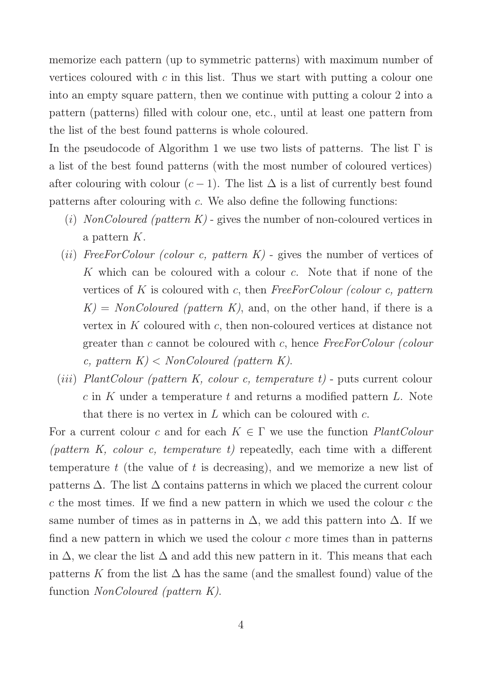memorize each pattern (up to symmetric patterns) with maximum number of vertices coloured with  $c$  in this list. Thus we start with putting a colour one into an empty square pattern, then we continue with putting a colour 2 into a pattern (patterns) filled with colour one, etc., until at least one pattern from the list of the best found patterns is whole coloured.

In the pseudocode of Algorithm 1 we use two lists of patterns. The list  $\Gamma$  is a list of the best found patterns (with the most number of coloured vertices) after colouring with colour  $(c-1)$ . The list  $\Delta$  is a list of currently best found patterns after colouring with  $c$ . We also define the following functions:

- (i) NonColoured (pattern  $K$ ) gives the number of non-coloured vertices in a pattern K.
- (ii) FreeForColour (colour c, pattern  $K$ ) gives the number of vertices of K which can be coloured with a colour c. Note that if none of the vertices of K is coloured with c, then  $FreeForColor$  (colour c, pattern  $K = NonColoured$  (pattern K), and, on the other hand, if there is a vertex in  $K$  coloured with  $c$ , then non-coloured vertices at distance not greater than c cannot be coloured with c, hence FreeForColour (colour c, pattern  $K$  < NonColoured (pattern K).
- (*iii*) PlantColour (pattern K, colour c, temperature t) puts current colour c in K under a temperature t and returns a modified pattern  $L$ . Note that there is no vertex in  $L$  which can be coloured with  $c$ .

For a current colour c and for each  $K \in \Gamma$  we use the function *PlantColour* (pattern K, colour c, temperature t) repeatedly, each time with a different temperature  $t$  (the value of  $t$  is decreasing), and we memorize a new list of patterns  $\Delta$ . The list  $\Delta$  contains patterns in which we placed the current colour c the most times. If we find a new pattern in which we used the colour  $c$  the same number of times as in patterns in  $\Delta$ , we add this pattern into  $\Delta$ . If we find a new pattern in which we used the colour  $c$  more times than in patterns in  $\Delta$ , we clear the list  $\Delta$  and add this new pattern in it. This means that each patterns K from the list  $\Delta$  has the same (and the smallest found) value of the function NonColoured (pattern K).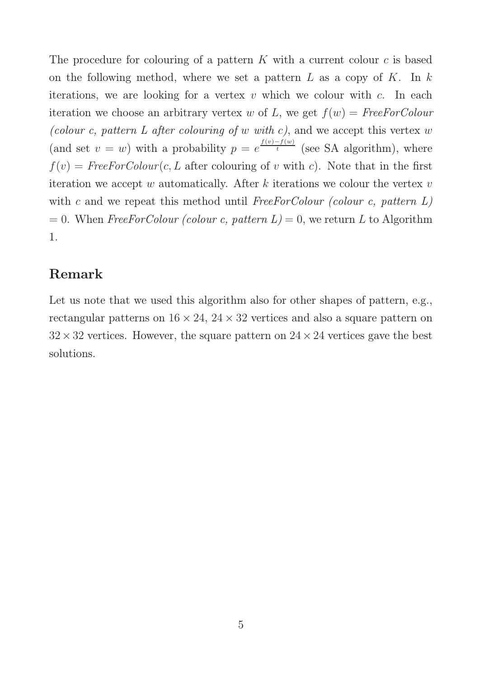The procedure for colouring of a pattern  $K$  with a current colour  $c$  is based on the following method, where we set a pattern  $L$  as a copy of  $K$ . In  $k$ iterations, we are looking for a vertex  $v$  which we colour with  $c$ . In each iteration we choose an arbitrary vertex w of L, we get  $f(w) = FreeForColor$ (colour c, pattern L after colouring of w with c), and we accept this vertex  $w$ (and set  $v = w$ ) with a probability  $p = e^{\frac{f(v) - f(w)}{t}}$  (see SA algorithm), where  $f(v) = FreeForColor(c, L$  after colouring of v with c). Note that in the first iteration we accept w automatically. After  $k$  iterations we colour the vertex  $v$ with c and we repeat this method until FreeForColour (colour c, pattern  $L$ )  $= 0$ . When FreeForColour (colour c, pattern  $L = 0$ , we return L to Algorithm 1.

#### Remark

Let us note that we used this algorithm also for other shapes of pattern, e.g., rectangular patterns on  $16 \times 24$ ,  $24 \times 32$  vertices and also a square pattern on  $32 \times 32$  vertices. However, the square pattern on  $24 \times 24$  vertices gave the best solutions.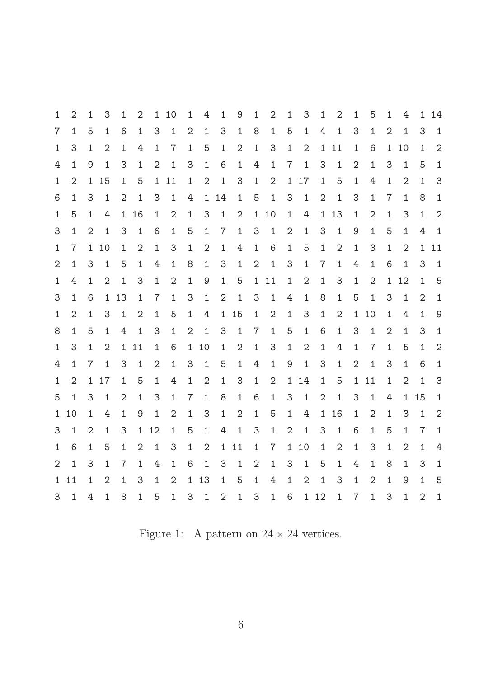| 1              | 2              | 1              | 3              | 1            | 2            | $\mathbf{1}$   | -10            | 1              | 4              | $\mathbf{1}$   | 9              | 1              | $\overline{2}$ | 1              | 3              | $\mathbf{1}$   | 2              | $\mathbf{1}$   | 5              | 1              | 4              | 1              | 14             |
|----------------|----------------|----------------|----------------|--------------|--------------|----------------|----------------|----------------|----------------|----------------|----------------|----------------|----------------|----------------|----------------|----------------|----------------|----------------|----------------|----------------|----------------|----------------|----------------|
| 7              | 1              | 5              | $\mathbf{1}$   | 6            | $\mathbf{1}$ | 3              | $\mathbf{1}$   | $\overline{2}$ | $\mathbf{1}$   | 3              | $\mathbf{1}$   | 8              | $\mathbf{1}$   | 5              | $\mathbf{1}$   | 4              | $\mathbf{1}$   | 3              | 1              | $\overline{2}$ | $\mathbf{1}$   | 3              | $\mathbf{1}$   |
| $\mathbf{1}$   | 3              | 1              | $\overline{2}$ | $\mathbf{1}$ | 4            | $\mathbf{1}$   | $\overline{7}$ | $\mathbf{1}$   | 5              | $\mathbf{1}$   | $\overline{2}$ | $\mathbf{1}$   | 3              | $\mathbf{1}$   | $\overline{2}$ |                | 1 11           | $\mathbf{1}$   | 6              |                | 1 10           | 1              | 2              |
| 4              | 1              | 9              | $\mathbf{1}$   | 3            | $\mathbf{1}$ | $\overline{2}$ | $\mathbf{1}$   | 3              | $\mathbf{1}$   | 6              | $\mathbf{1}$   | 4              | $\mathbf{1}$   | $7\phantom{.}$ | $\mathbf{1}$   | 3              | $\mathbf{1}$   | $\mathbf{2}$   | 1              | 3              | $\mathbf{1}$   | 5              | $\mathbf 1$    |
| $\mathbf{1}$   | $\overline{2}$ |                | 1 15           | $\mathbf{1}$ | 5            |                | 1 11           | $\mathbf{1}$   | 2              | $\mathbf{1}$   | 3              | $\mathbf{1}$   | 2              |                | 1 17           | $\mathbf{1}$   | 5              | $\mathbf{1}$   | 4              | $\mathbf{1}$   | 2              | 1              | 3              |
| 6              | 1              | 3              | $\mathbf{1}$   | 2            | $\mathbf{1}$ | 3              | $\mathbf{1}$   | 4              | $\mathbf{1}$   | 14             | $\mathbf{1}$   | 5              | $\mathbf{1}$   | 3              | $\mathbf{1}$   | $\mathbf{2}$   | $\mathbf{1}$   | 3              | $\mathbf{1}$   | $\overline{7}$ | 1              | 8              | $\mathbf{1}$   |
| 1              | 5              | 1              | 4              |              | 1 16         | $\mathbf{1}$   | 2              | 1              | 3              | $\mathbf{1}$   | 2              | $\mathbf{1}$   | 10             | $\mathbf{1}$   | 4              | $\mathbf{1}$   | 13             | $\mathbf{1}$   | $\mathbf{2}$   | $\mathbf{1}$   | 3              | 1              | $\overline{2}$ |
| 3              | 1              | 2              | $\mathbf{1}$   | 3            | $\mathbf{1}$ | 6              | $\mathbf{1}$   | 5              | $\mathbf{1}$   | $\overline{7}$ | $\mathbf{1}$   | 3              | $\mathbf{1}$   | $\mathbf{2}$   | $\mathbf{1}$   | 3              | $\mathbf{1}$   | 9              | 1              | 5              | 1              | 4              | $\mathbf{1}$   |
| $\mathbf{1}$   | $\overline{7}$ | $\mathbf{1}$   | 10             | $\mathbf{1}$ | 2            | $\mathbf{1}$   | 3              | 1              | $\overline{2}$ | $\mathbf{1}$   | 4              | $\mathbf{1}$   | 6              | $\mathbf{1}$   | 5              | $\mathbf{1}$   | $\overline{2}$ | $\mathbf{1}$   | 3              | $\mathbf{1}$   | 2              | $\mathbf{1}$   | 11             |
| 2              | $\mathbf{1}$   | 3              | $\mathbf{1}$   | 5            | $\mathbf{1}$ | 4              | 1              | 8              | $\mathbf{1}$   | 3              | $\mathbf{1}$   | 2              | $\mathbf{1}$   | 3              | $\mathbf{1}$   | $\overline{7}$ | $\mathbf{1}$   | 4              | 1              | 6              | $\mathbf{1}$   | 3              | $\mathbf{1}$   |
| $\mathbf{1}$   | 4              | 1              | 2              | $\mathbf{1}$ | 3            | $\mathbf{1}$   | 2              | $\mathbf{1}$   | 9              | $\mathbf{1}$   | 5              |                | 1 11           | $\mathbf 1$    | 2              | $\mathbf{1}$   | 3              | $\mathbf{1}$   | 2              | $\mathbf{1}$   | 12             | 1              | 5              |
| 3              | $\mathbf{1}$   | 6              |                | 1 13         | $\mathbf{1}$ | $\overline{7}$ | $\mathbf{1}$   | 3              | $\mathbf{1}$   | 2              | $\mathbf{1}$   | 3              | $\mathbf{1}$   | 4              | $\mathbf{1}$   | 8              | $\mathbf{1}$   | 5              | $\mathbf{1}$   | 3              | $\mathbf{1}$   | 2              | $\mathbf{1}$   |
| $\mathbf{1}$   | 2              | $\mathbf{1}$   | 3              | $\mathbf{1}$ | 2            | $\mathbf{1}$   | 5              | $\mathbf{1}$   | 4              |                | 1 15           | $\mathbf{1}$   | 2              | $\mathbf{1}$   | 3              | $\mathbf{1}$   | $\mathbf{2}$   | $\mathbf{1}$   | 10             | $\mathbf{1}$   | 4              | 1              | 9              |
| 8              | $\mathbf{1}$   | 5              | $\mathbf{1}$   | 4            | $\mathbf{1}$ | 3              | $\mathbf{1}$   | $\overline{2}$ | $\mathbf{1}$   | 3              | $\mathbf{1}$   | 7              | $\mathbf{1}$   | 5              | $\mathbf{1}$   | 6              | $\mathbf{1}$   | 3              | $\mathbf{1}$   | 2              | 1              | 3              | $\mathbf{1}$   |
| $\mathbf{1}$   | 3              | 1              | 2              | $\mathbf{1}$ | 11           | $\mathbf{1}$   | 6              | 1              | 10             | $\mathbf{1}$   | 2              | $\mathbf{1}$   | 3              | $\mathbf{1}$   | 2              | $\mathbf{1}$   | 4              | $\mathbf{1}$   | $\overline{7}$ | $\mathbf{1}$   | 5              | 1              | $\mathbf{2}$   |
| 4              | 1              | $\overline{7}$ | $\mathbf{1}$   | 3            | $\mathbf{1}$ | $\overline{2}$ | $\mathbf{1}$   | 3              | $\mathbf{1}$   | 5              | $\mathbf{1}$   | 4              | $\mathbf{1}$   | 9              | $\mathbf{1}$   | 3              | $\mathbf{1}$   | $\mathbf{2}$   | $\mathbf{1}$   | 3              | 1              | 6              | $\mathbf{1}$   |
| 1              | $\overline{2}$ |                | 1 17           | $\mathbf{1}$ | 5            | $\mathbf{1}$   | 4              | $\mathbf{1}$   | $\mathbf{2}$   | $\mathbf{1}$   | 3              | $\mathbf{1}$   | 2              | 1              | 14             | $\mathbf{1}$   | 5              |                | 1 11           | $\mathbf{1}$   | $\overline{2}$ | 1              | 3              |
| 5              | 1              | 3              | $\mathbf{1}$   | 2            | $\mathbf{1}$ | 3              | $\mathbf{1}$   | $\mathbf 7$    | $\mathbf{1}$   | 8              | $\mathbf{1}$   | 6              | $\mathbf{1}$   | 3              | $\mathbf{1}$   | $\overline{2}$ | $\mathbf{1}$   | 3              | $\mathbf{1}$   | 4              | $\mathbf{1}$   | 15             | $\mathbf 1$    |
|                | 1 10           | 1              | 4              | $\mathbf{1}$ | 9            | $\mathbf{1}$   | $\overline{2}$ | $\mathbf 1$    | 3              | $\mathbf{1}$   | 2              | $\mathbf{1}$   | 5              | $\mathbf{1}$   | 4              |                | 1 16           | $\mathbf 1$    | 2              | $\mathbf{1}$   | 3              | 1              | $\mathbf{2}$   |
| 3              | $\mathbf{1}$   | $\overline{2}$ | $\mathbf{1}$   | 3            | $\mathbf{1}$ | 12             | $\mathbf{1}$   | 5              | $\mathbf{1}$   | 4              | $\mathbf{1}$   | 3              | $\mathbf{1}$   | 2              | $\mathbf{1}$   | 3              | $\mathbf{1}$   | 6              | 1              | 5              | 1              | 7              | $\mathbf{1}$   |
| $\mathbf{1}$   | 6              | $\mathbf{1}$   | 5              | $\mathbf{1}$ | 2            | $\mathbf{1}$   | 3              | $\mathbf 1$    | $\mathbf{2}$   |                | 1 11           | $\mathbf{1}$   | $\overline{7}$ | $\mathbf{1}$   | 10             | $\mathbf{1}$   | $\overline{2}$ | $\mathbf{1}$   | 3              | $\mathbf{1}$   | 2              | 1              | 4              |
| $\overline{2}$ | $\mathbf{1}$   | 3              | $\mathbf{1}$   | 7            | $\mathbf{1}$ | 4              | $\mathbf{1}$   | 6              | 1              | 3              | $\mathbf{1}$   | $\overline{2}$ | $\mathbf{1}$   | 3              | $\mathbf{1}$   | 5              | $\mathbf{1}$   | 4              | 1              | 8              | 1              | 3              | $\mathbf 1$    |
| $\mathbf{1}$   | 11             | $\mathbf 1$    | 2              | $\mathbf{1}$ | 3            | $\mathbf{1}$   | 2              | $\mathbf{1}$   | 13             | $\mathbf{1}$   | 5              | $\mathbf{1}$   | 4              | $\mathbf{1}$   | 2              | $\mathbf{1}$   | 3              | $\mathbf{1}$   | 2              | 1              | 9              | $\mathbf{1}$   | 5              |
| 3              | $\mathbf{1}$   | 4              | $\mathbf{1}$   | 8            | $\mathbf{1}$ | 5              | $\mathbf{1}$   | 3              | $\mathbf{1}$   | $\overline{2}$ | $\mathbf{1}$   | 3              | $\mathbf{1}$   | 6              |                | 1 12           | $\mathbf{1}$   | $\overline{7}$ | $\mathbf{1}$   | 3              | $\mathbf{1}$   | $\overline{2}$ | $\mathbf{1}$   |

Figure 1: A pattern on  $24 \times 24$  vertices.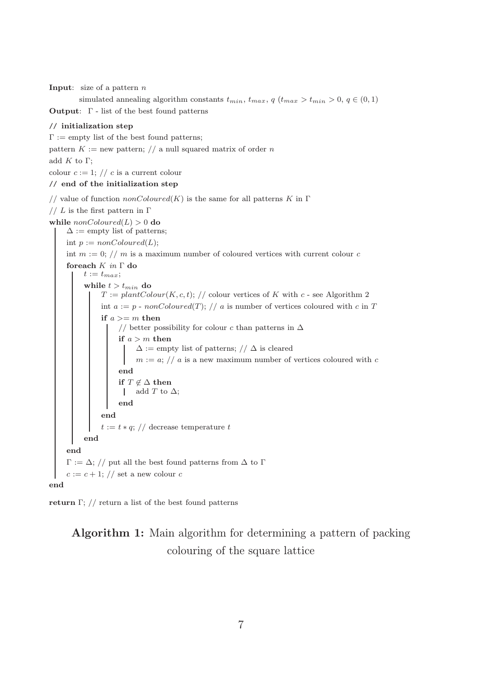**Input:** size of a pattern  $n$ 

simulated annealing algorithm constants  $t_{min}$ ,  $t_{max}$ ,  $q$   $(t_{max} > t_{min} > 0, q \in (0, 1)$ **Output:**  $\Gamma$  - list of the best found patterns

#### // initialization step

 $\Gamma :=$  empty list of the best found patterns;

pattern  $K :=$  new pattern; // a null squared matrix of order n

add  $K$  to  $\Gamma$ ;

colour  $c := 1$ ; // c is a current colour

#### // end of the initialization step

// value of function  $nonColoured(K)$  is the same for all patterns K in  $\Gamma$ // L is the first pattern in  $\Gamma$ while  $nonColoured(L) > 0$  do  $\Delta :=$ empty list of patterns; int  $p := nonColoured(L);$ int  $m := 0$ ; // m is a maximum number of coloured vertices with current colour c foreach  $K$  in  $\Gamma$  do  $t := t_{max};$ while  $t > t_{min}$  do  $T := plantColor(K, c, t); // colour vertices of K with c - see Algorithm 2$ int  $a := p$  - nonColoured(T); // a is number of vertices coloured with c in T if  $a >= m$  then // better possibility for colour c than patterns in  $\Delta$ if  $a > m$  then  $\Delta :=$  empty list of patterns; //  $\Delta$  is cleared  $m := a$ ; // a is a new maximum number of vertices coloured with c end if  $T \not\in \Delta$  then | add T to  $\Delta$ ; end end  $t := t * q$ ; // decrease temperature t end end  $\Gamma := \Delta$ ; // put all the best found patterns from  $\Delta$  to  $\Gamma$  $c := c + 1$ ; // set a new colour c end

return Γ;  $\frac{1}{2}$  return a list of the best found patterns

Algorithm 1: Main algorithm for determining a pattern of packing colouring of the square lattice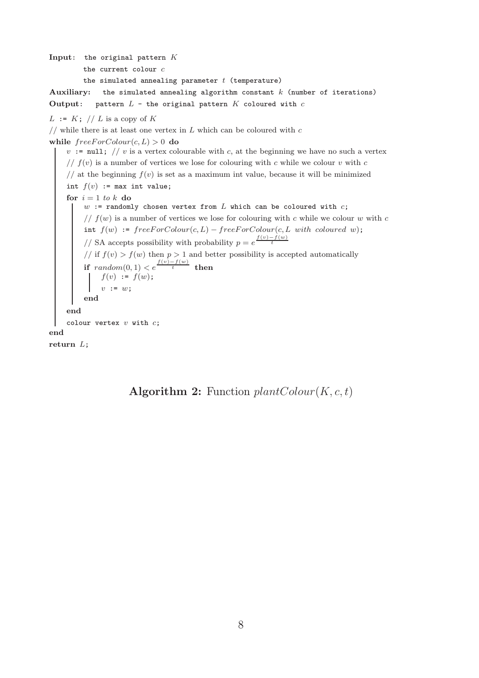Input: the original pattern  $K$ 

the current colour  $c$ 

the simulated annealing parameter  $t$  (temperature)

Auxiliary: the simulated annealing algorithm constant  $k$  (number of iterations) Output: pattern  $L$  - the original pattern  $K$  coloured with  $c$ 

```
L := K; // L is a copy of K
```
// while there is at least one vertex in  $L$  which can be coloured with  $c$ 

while  $freeForColor(c, L) > 0$  do

 $v := \text{null}$ ; // v is a vertex colourable with c, at the beginning we have no such a vertex //  $f(v)$  is a number of vertices we lose for colouring with c while we colour v with c // at the beginning  $f(v)$  is set as a maximum int value, because it will be minimized int  $f(v)$  := max int value; for  $i = 1$  to k do  $w$  := randomly chosen vertex from  $L$  which can be coloured with  $c$ ; //  $f(w)$  is a number of vertices we lose for colouring with c while we colour w with c int  $f(w)$  :=  $freeForColor(c, L) - freeForColor(c, L with coloured w);$ // SA accepts possibility with probability  $p = e^{\frac{f(v) - f(w)}{t}}$ // if  $f(v) > f(w)$  then  $p > 1$  and better possibility is accepted automatically if  $random(0, 1) < e^{\frac{f(v) - f(w)}{t}}$  then  $f(v) := f(w);$  $v := w;$ end end colour vertex  $v$  with  $c$ ; end return L;

Algorithm 2: Function  $plantColor(K, c, t)$